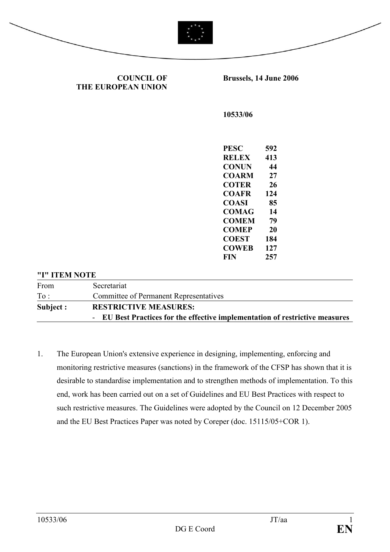

Brussels, 14 June 2006

COUNCIL OF

THE EUROPEAN UNION 10533/06 PESC 592 RELEX 413 CONUN 44 COARM 27 COTER 26 COAFR 124 COASI 85 COMAG 14 COMEM 79 COMEP 20 COEST 184 COWEB 127 FIN 257 "I" ITEM NOTE

| From      | Secretariat                                                                  |
|-----------|------------------------------------------------------------------------------|
| To:       | Committee of Permanent Representatives                                       |
| Subject : | <b>RESTRICTIVE MEASURES:</b>                                                 |
|           | - EU Best Practices for the effective implementation of restrictive measures |

1. The European Union's extensive experience in designing, implementing, enforcing and monitoring restrictive measures (sanctions) in the framework of the CFSP has shown that it is desirable to standardise implementation and to strengthen methods of implementation. To this end, work has been carried out on a set of Guidelines and EU Best Practices with respect to such restrictive measures. The Guidelines were adopted by the Council on 12 December 2005 and the EU Best Practices Paper was noted by Coreper (doc. 15115/05+COR 1).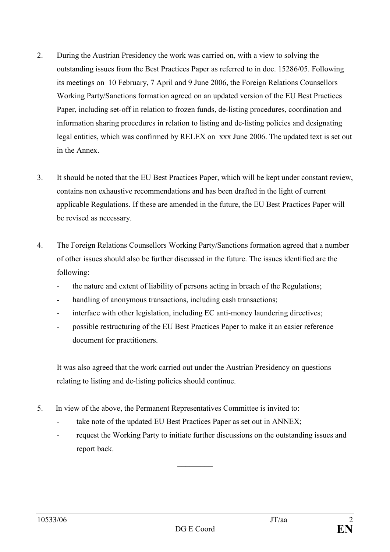- 2. During the Austrian Presidency the work was carried on, with a view to solving the outstanding issues from the Best Practices Paper as referred to in doc. 15286/05. Following its meetings on 10 February, 7 April and 9 June 2006, the Foreign Relations Counsellors Working Party/Sanctions formation agreed on an updated version of the EU Best Practices Paper, including set-off in relation to frozen funds, de-listing procedures, coordination and information sharing procedures in relation to listing and de-listing policies and designating legal entities, which was confirmed by RELEX on xxx June 2006. The updated text is set out in the Annex.
- 3. It should be noted that the EU Best Practices Paper, which will be kept under constant review, contains non exhaustive recommendations and has been drafted in the light of current applicable Regulations. If these are amended in the future, the EU Best Practices Paper will be revised as necessary.
- 4. The Foreign Relations Counsellors Working Party/Sanctions formation agreed that a number of other issues should also be further discussed in the future. The issues identified are the following:
	- the nature and extent of liability of persons acting in breach of the Regulations;
	- handling of anonymous transactions, including cash transactions;
	- interface with other legislation, including EC anti-money laundering directives;
	- possible restructuring of the EU Best Practices Paper to make it an easier reference document for practitioners.

It was also agreed that the work carried out under the Austrian Presidency on questions relating to listing and de-listing policies should continue.

- 5. In view of the above, the Permanent Representatives Committee is invited to:
	- take note of the updated EU Best Practices Paper as set out in ANNEX;
	- request the Working Party to initiate further discussions on the outstanding issues and report back.

 $\frac{1}{2}$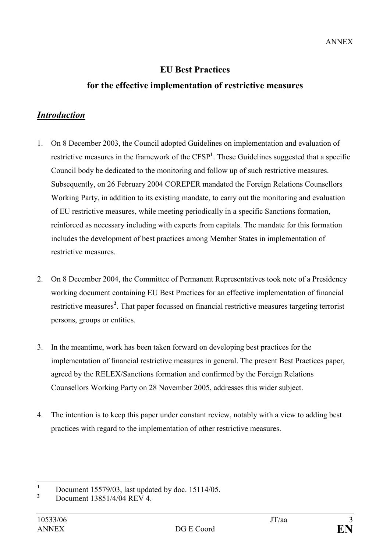# EU Best Practices

# for the effective implementation of restrictive measures

# Introduction

- 1. On 8 December 2003, the Council adopted Guidelines on implementation and evaluation of restrictive measures in the framework of the  $CFSP<sup>1</sup>$ . These Guidelines suggested that a specific Council body be dedicated to the monitoring and follow up of such restrictive measures. Subsequently, on 26 February 2004 COREPER mandated the Foreign Relations Counsellors Working Party, in addition to its existing mandate, to carry out the monitoring and evaluation of EU restrictive measures, while meeting periodically in a specific Sanctions formation, reinforced as necessary including with experts from capitals. The mandate for this formation includes the development of best practices among Member States in implementation of restrictive measures.
- 2. On 8 December 2004, the Committee of Permanent Representatives took note of a Presidency working document containing EU Best Practices for an effective implementation of financial restrictive measures<sup>2</sup>. That paper focussed on financial restrictive measures targeting terrorist persons, groups or entities.
- 3. In the meantime, work has been taken forward on developing best practices for the implementation of financial restrictive measures in general. The present Best Practices paper, agreed by the RELEX/Sanctions formation and confirmed by the Foreign Relations Counsellors Working Party on 28 November 2005, addresses this wider subject.
- 4. The intention is to keep this paper under constant review, notably with a view to adding best practices with regard to the implementation of other restrictive measures.

 $\frac{1}{1}$ Document 15579/03, last updated by doc. 15114/05.

<sup>2</sup> Document 13851/4/04 REV 4.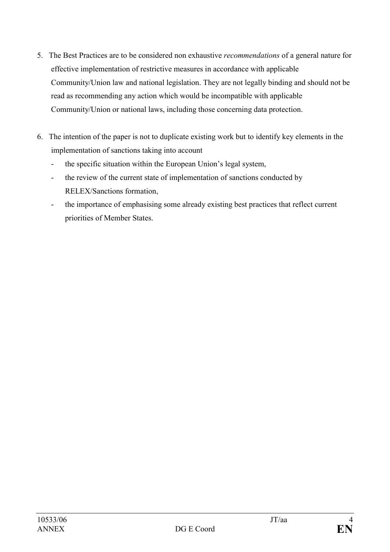- 5. The Best Practices are to be considered non exhaustive recommendations of a general nature for effective implementation of restrictive measures in accordance with applicable Community/Union law and national legislation. They are not legally binding and should not be read as recommending any action which would be incompatible with applicable Community/Union or national laws, including those concerning data protection.
- 6. The intention of the paper is not to duplicate existing work but to identify key elements in the implementation of sanctions taking into account
	- the specific situation within the European Union's legal system,
	- the review of the current state of implementation of sanctions conducted by RELEX/Sanctions formation,
	- the importance of emphasising some already existing best practices that reflect current priorities of Member States.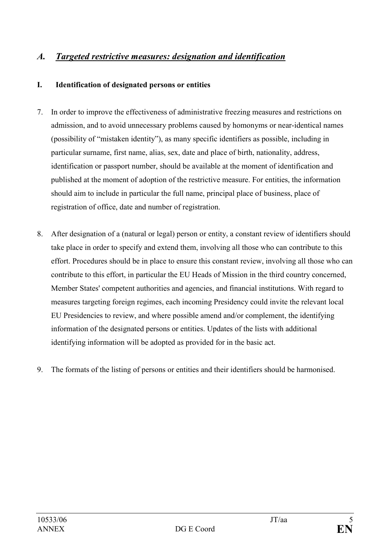# A. Targeted restrictive measures: designation and identification

#### I. Identification of designated persons or entities

- 7. In order to improve the effectiveness of administrative freezing measures and restrictions on admission, and to avoid unnecessary problems caused by homonyms or near-identical names (possibility of "mistaken identity"), as many specific identifiers as possible, including in particular surname, first name, alias, sex, date and place of birth, nationality, address, identification or passport number, should be available at the moment of identification and published at the moment of adoption of the restrictive measure. For entities, the information should aim to include in particular the full name, principal place of business, place of registration of office, date and number of registration.
- 8. After designation of a (natural or legal) person or entity, a constant review of identifiers should take place in order to specify and extend them, involving all those who can contribute to this effort. Procedures should be in place to ensure this constant review, involving all those who can contribute to this effort, in particular the EU Heads of Mission in the third country concerned, Member States' competent authorities and agencies, and financial institutions. With regard to measures targeting foreign regimes, each incoming Presidency could invite the relevant local EU Presidencies to review, and where possible amend and/or complement, the identifying information of the designated persons or entities. Updates of the lists with additional identifying information will be adopted as provided for in the basic act.
- 9. The formats of the listing of persons or entities and their identifiers should be harmonised.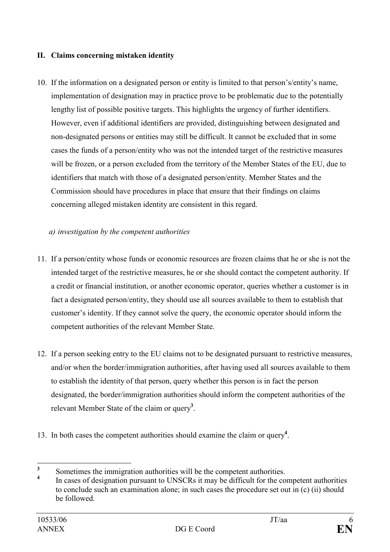#### II. Claims concerning mistaken identity

10. If the information on a designated person or entity is limited to that person's/entity's name, implementation of designation may in practice prove to be problematic due to the potentially lengthy list of possible positive targets. This highlights the urgency of further identifiers. However, even if additional identifiers are provided, distinguishing between designated and non-designated persons or entities may still be difficult. It cannot be excluded that in some cases the funds of a person/entity who was not the intended target of the restrictive measures will be frozen, or a person excluded from the territory of the Member States of the EU, due to identifiers that match with those of a designated person/entity. Member States and the Commission should have procedures in place that ensure that their findings on claims concerning alleged mistaken identity are consistent in this regard.

#### a) investigation by the competent authorities

- 11. If a person/entity whose funds or economic resources are frozen claims that he or she is not the intended target of the restrictive measures, he or she should contact the competent authority. If a credit or financial institution, or another economic operator, queries whether a customer is in fact a designated person/entity, they should use all sources available to them to establish that customer's identity. If they cannot solve the query, the economic operator should inform the competent authorities of the relevant Member State.
- 12. If a person seeking entry to the EU claims not to be designated pursuant to restrictive measures, and/or when the border/immigration authorities, after having used all sources available to them to establish the identity of that person, query whether this person is in fact the person designated, the border/immigration authorities should inform the competent authorities of the relevant Member State of the claim or query<sup>3</sup>.
- 13. In both cases the competent authorities should examine the claim or query<sup>4</sup>.

 $\frac{1}{3}$ Sometimes the immigration authorities will be the competent authorities.

<sup>4</sup> In cases of designation pursuant to UNSCRs it may be difficult for the competent authorities to conclude such an examination alone; in such cases the procedure set out in (c) (ii) should be followed.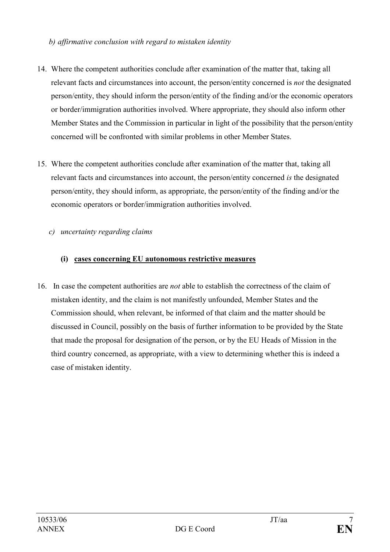#### b) affirmative conclusion with regard to mistaken identity

- 14. Where the competent authorities conclude after examination of the matter that, taking all relevant facts and circumstances into account, the person/entity concerned is not the designated person/entity, they should inform the person/entity of the finding and/or the economic operators or border/immigration authorities involved. Where appropriate, they should also inform other Member States and the Commission in particular in light of the possibility that the person/entity concerned will be confronted with similar problems in other Member States.
- 15. Where the competent authorities conclude after examination of the matter that, taking all relevant facts and circumstances into account, the person/entity concerned is the designated person/entity, they should inform, as appropriate, the person/entity of the finding and/or the economic operators or border/immigration authorities involved.

#### c) uncertainty regarding claims

#### (i) cases concerning EU autonomous restrictive measures

16. In case the competent authorities are not able to establish the correctness of the claim of mistaken identity, and the claim is not manifestly unfounded, Member States and the Commission should, when relevant, be informed of that claim and the matter should be discussed in Council, possibly on the basis of further information to be provided by the State that made the proposal for designation of the person, or by the EU Heads of Mission in the third country concerned, as appropriate, with a view to determining whether this is indeed a case of mistaken identity.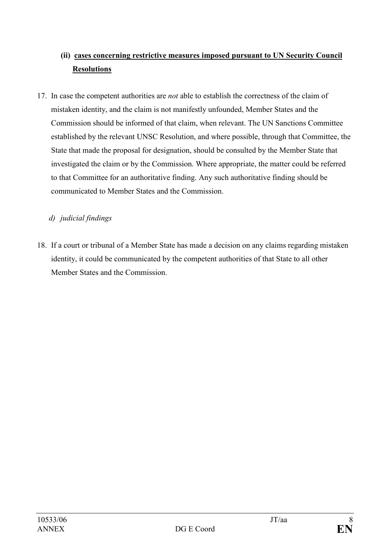# (ii) cases concerning restrictive measures imposed pursuant to UN Security Council Resolutions

17. In case the competent authorities are *not* able to establish the correctness of the claim of mistaken identity, and the claim is not manifestly unfounded, Member States and the Commission should be informed of that claim, when relevant. The UN Sanctions Committee established by the relevant UNSC Resolution, and where possible, through that Committee, the State that made the proposal for designation, should be consulted by the Member State that investigated the claim or by the Commission. Where appropriate, the matter could be referred to that Committee for an authoritative finding. Any such authoritative finding should be communicated to Member States and the Commission.

### d) judicial findings

18. If a court or tribunal of a Member State has made a decision on any claims regarding mistaken identity, it could be communicated by the competent authorities of that State to all other Member States and the Commission.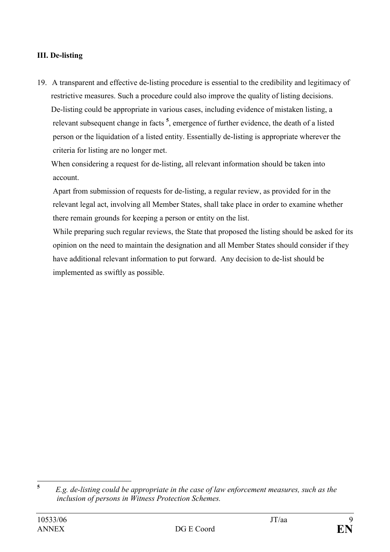#### III. De-listing

19. A transparent and effective de-listing procedure is essential to the credibility and legitimacy of restrictive measures. Such a procedure could also improve the quality of listing decisions. De-listing could be appropriate in various cases, including evidence of mistaken listing, a relevant subsequent change in facts<sup>5</sup>, emergence of further evidence, the death of a listed person or the liquidation of a listed entity. Essentially de-listing is appropriate wherever the criteria for listing are no longer met.

 When considering a request for de-listing, all relevant information should be taken into account.

Apart from submission of requests for de-listing, a regular review, as provided for in the relevant legal act, involving all Member States, shall take place in order to examine whether there remain grounds for keeping a person or entity on the list.

While preparing such regular reviews, the State that proposed the listing should be asked for its opinion on the need to maintain the designation and all Member States should consider if they have additional relevant information to put forward. Any decision to de-list should be implemented as swiftly as possible.

 5 E.g. de-listing could be appropriate in the case of law enforcement measures, such as the inclusion of persons in Witness Protection Schemes.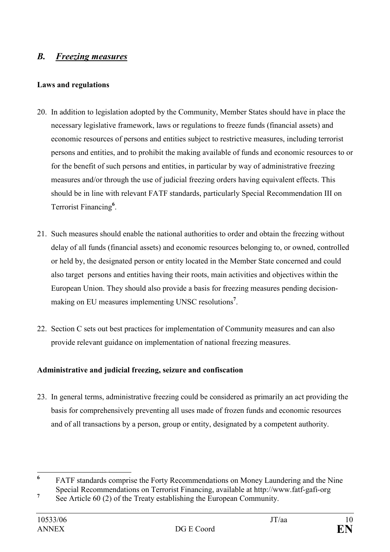# B. Freezing measures

#### Laws and regulations

- 20. In addition to legislation adopted by the Community, Member States should have in place the necessary legislative framework, laws or regulations to freeze funds (financial assets) and economic resources of persons and entities subject to restrictive measures, including terrorist persons and entities, and to prohibit the making available of funds and economic resources to or for the benefit of such persons and entities, in particular by way of administrative freezing measures and/or through the use of judicial freezing orders having equivalent effects. This should be in line with relevant FATF standards, particularly Special Recommendation III on Terrorist Financing<sup>6</sup>.
- 21. Such measures should enable the national authorities to order and obtain the freezing without delay of all funds (financial assets) and economic resources belonging to, or owned, controlled or held by, the designated person or entity located in the Member State concerned and could also target persons and entities having their roots, main activities and objectives within the European Union. They should also provide a basis for freezing measures pending decisionmaking on EU measures implementing UNSC resolutions<sup>7</sup>.
- 22. Section C sets out best practices for implementation of Community measures and can also provide relevant guidance on implementation of national freezing measures.

#### Administrative and judicial freezing, seizure and confiscation

23. In general terms, administrative freezing could be considered as primarily an act providing the basis for comprehensively preventing all uses made of frozen funds and economic resources and of all transactions by a person, group or entity, designated by a competent authority.

 6 FATF standards comprise the Forty Recommendations on Money Laundering and the Nine Special Recommendations on Terrorist Financing, available at http://www.fatf-gafi-org

<sup>7</sup> See Article 60 (2) of the Treaty establishing the European Community.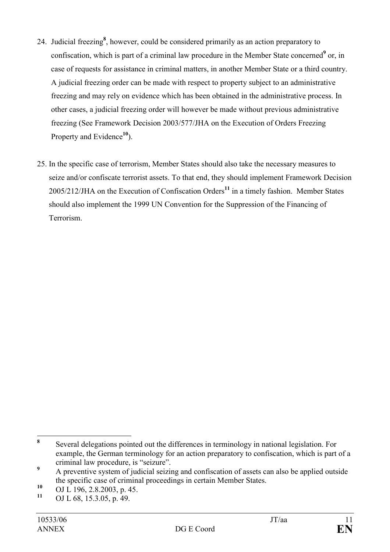- 24. Judicial freezing<sup>8</sup>, however, could be considered primarily as an action preparatory to confiscation, which is part of a criminal law procedure in the Member State concerned<sup>9</sup> or, in case of requests for assistance in criminal matters, in another Member State or a third country. A judicial freezing order can be made with respect to property subject to an administrative freezing and may rely on evidence which has been obtained in the administrative process. In other cases, a judicial freezing order will however be made without previous administrative freezing (See Framework Decision 2003/577/JHA on the Execution of Orders Freezing Property and Evidence $10$ .
- 25. In the specific case of terrorism, Member States should also take the necessary measures to seize and/or confiscate terrorist assets. To that end, they should implement Framework Decision  $2005/212$ /JHA on the Execution of Confiscation Orders<sup>11</sup> in a timely fashion. Member States should also implement the 1999 UN Convention for the Suppression of the Financing of Terrorism.

 8 Several delegations pointed out the differences in terminology in national legislation. For example, the German terminology for an action preparatory to confiscation, which is part of a criminal law procedure, is "seizure".

<sup>9</sup> A preventive system of judicial seizing and confiscation of assets can also be applied outside the specific case of criminal proceedings in certain Member States.

 $^{10}$  OJ L 196, 2.8.2003, p. 45.<br>  $^{11}$  OJ L (9, 15, 2.05, p. 40)

OJ L 68, 15.3.05, p. 49.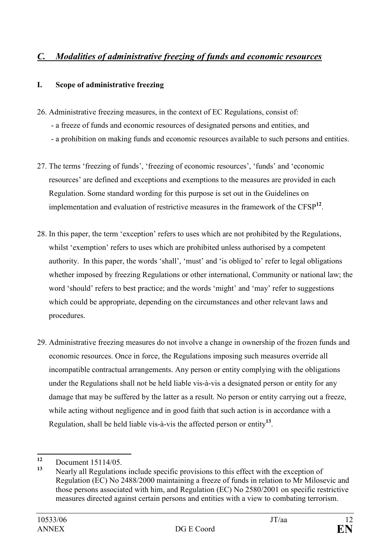# C. Modalities of administrative freezing of funds and economic resources

#### I. Scope of administrative freezing

- 26. Administrative freezing measures, in the context of EC Regulations, consist of:
	- a freeze of funds and economic resources of designated persons and entities, and
	- a prohibition on making funds and economic resources available to such persons and entities.
- 27. The terms 'freezing of funds', 'freezing of economic resources', 'funds' and 'economic resources' are defined and exceptions and exemptions to the measures are provided in each Regulation. Some standard wording for this purpose is set out in the Guidelines on implementation and evaluation of restrictive measures in the framework of the  $CFSP<sup>12</sup>$ .
- 28. In this paper, the term 'exception' refers to uses which are not prohibited by the Regulations, whilst 'exemption' refers to uses which are prohibited unless authorised by a competent authority. In this paper, the words 'shall', 'must' and 'is obliged to' refer to legal obligations whether imposed by freezing Regulations or other international, Community or national law; the word 'should' refers to best practice; and the words 'might' and 'may' refer to suggestions which could be appropriate, depending on the circumstances and other relevant laws and procedures.
- 29. Administrative freezing measures do not involve a change in ownership of the frozen funds and economic resources. Once in force, the Regulations imposing such measures override all incompatible contractual arrangements. Any person or entity complying with the obligations under the Regulations shall not be held liable vis-à-vis a designated person or entity for any damage that may be suffered by the latter as a result. No person or entity carrying out a freeze, while acting without negligence and in good faith that such action is in accordance with a Regulation, shall be held liable vis-à-vis the affected person or entity $^{13}$ .

 $12$  $\frac{12}{13}$  Document 15114/05.

Nearly all Regulations include specific provisions to this effect with the exception of Regulation (EC) No 2488/2000 maintaining a freeze of funds in relation to Mr Milosevic and those persons associated with him, and Regulation (EC) No 2580/2001 on specific restrictive measures directed against certain persons and entities with a view to combating terrorism.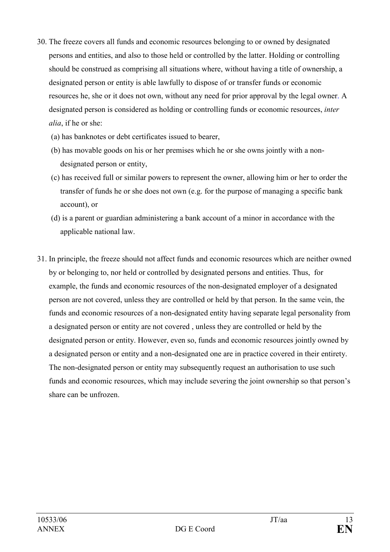- 30. The freeze covers all funds and economic resources belonging to or owned by designated persons and entities, and also to those held or controlled by the latter. Holding or controlling should be construed as comprising all situations where, without having a title of ownership, a designated person or entity is able lawfully to dispose of or transfer funds or economic resources he, she or it does not own, without any need for prior approval by the legal owner. A designated person is considered as holding or controlling funds or economic resources, inter alia, if he or she:
	- (a) has banknotes or debt certificates issued to bearer,
	- (b) has movable goods on his or her premises which he or she owns jointly with a nondesignated person or entity,
	- (c) has received full or similar powers to represent the owner, allowing him or her to order the transfer of funds he or she does not own (e.g. for the purpose of managing a specific bank account), or
	- (d) is a parent or guardian administering a bank account of a minor in accordance with the applicable national law.
- 31. In principle, the freeze should not affect funds and economic resources which are neither owned by or belonging to, nor held or controlled by designated persons and entities. Thus, for example, the funds and economic resources of the non-designated employer of a designated person are not covered, unless they are controlled or held by that person. In the same vein, the funds and economic resources of a non-designated entity having separate legal personality from a designated person or entity are not covered , unless they are controlled or held by the designated person or entity. However, even so, funds and economic resources jointly owned by a designated person or entity and a non-designated one are in practice covered in their entirety. The non-designated person or entity may subsequently request an authorisation to use such funds and economic resources, which may include severing the joint ownership so that person's share can be unfrozen.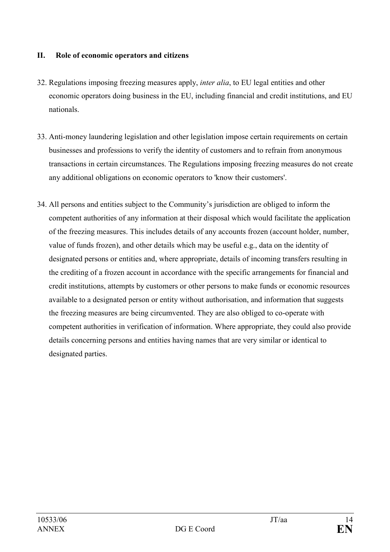#### II. Role of economic operators and citizens

- 32. Regulations imposing freezing measures apply, inter alia, to EU legal entities and other economic operators doing business in the EU, including financial and credit institutions, and EU nationals.
- 33. Anti-money laundering legislation and other legislation impose certain requirements on certain businesses and professions to verify the identity of customers and to refrain from anonymous transactions in certain circumstances. The Regulations imposing freezing measures do not create any additional obligations on economic operators to 'know their customers'.
- 34. All persons and entities subject to the Community's jurisdiction are obliged to inform the competent authorities of any information at their disposal which would facilitate the application of the freezing measures. This includes details of any accounts frozen (account holder, number, value of funds frozen), and other details which may be useful e.g., data on the identity of designated persons or entities and, where appropriate, details of incoming transfers resulting in the crediting of a frozen account in accordance with the specific arrangements for financial and credit institutions, attempts by customers or other persons to make funds or economic resources available to a designated person or entity without authorisation, and information that suggests the freezing measures are being circumvented. They are also obliged to co-operate with competent authorities in verification of information. Where appropriate, they could also provide details concerning persons and entities having names that are very similar or identical to designated parties.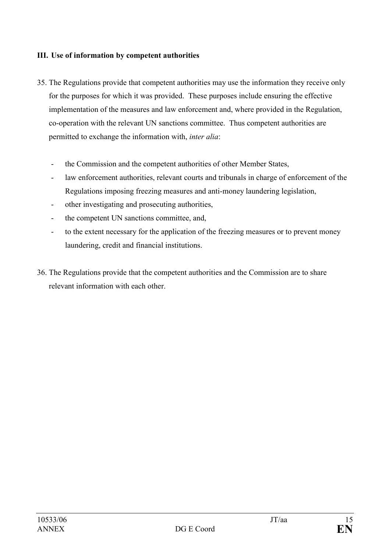#### III. Use of information by competent authorities

- 35. The Regulations provide that competent authorities may use the information they receive only for the purposes for which it was provided. These purposes include ensuring the effective implementation of the measures and law enforcement and, where provided in the Regulation, co-operation with the relevant UN sanctions committee. Thus competent authorities are permitted to exchange the information with, inter alia:
	- the Commission and the competent authorities of other Member States,
	- law enforcement authorities, relevant courts and tribunals in charge of enforcement of the Regulations imposing freezing measures and anti-money laundering legislation,
	- other investigating and prosecuting authorities,
	- the competent UN sanctions committee, and,
	- to the extent necessary for the application of the freezing measures or to prevent money laundering, credit and financial institutions.
- 36. The Regulations provide that the competent authorities and the Commission are to share relevant information with each other.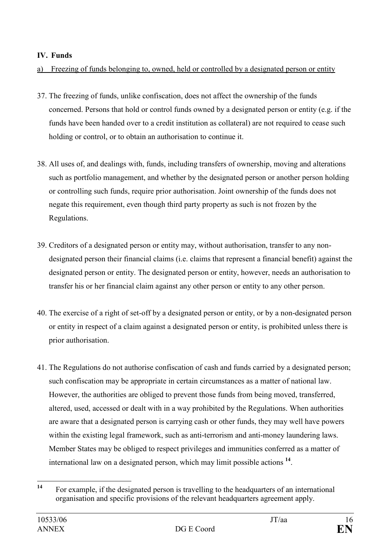#### IV. Funds

a) Freezing of funds belonging to, owned, held or controlled by a designated person or entity

- 37. The freezing of funds, unlike confiscation, does not affect the ownership of the funds concerned. Persons that hold or control funds owned by a designated person or entity (e.g. if the funds have been handed over to a credit institution as collateral) are not required to cease such holding or control, or to obtain an authorisation to continue it.
- 38. All uses of, and dealings with, funds, including transfers of ownership, moving and alterations such as portfolio management, and whether by the designated person or another person holding or controlling such funds, require prior authorisation. Joint ownership of the funds does not negate this requirement, even though third party property as such is not frozen by the Regulations.
- 39. Creditors of a designated person or entity may, without authorisation, transfer to any nondesignated person their financial claims (i.e. claims that represent a financial benefit) against the designated person or entity. The designated person or entity, however, needs an authorisation to transfer his or her financial claim against any other person or entity to any other person.
- 40. The exercise of a right of set-off by a designated person or entity, or by a non-designated person or entity in respect of a claim against a designated person or entity, is prohibited unless there is prior authorisation.
- 41. The Regulations do not authorise confiscation of cash and funds carried by a designated person; such confiscation may be appropriate in certain circumstances as a matter of national law. However, the authorities are obliged to prevent those funds from being moved, transferred, altered, used, accessed or dealt with in a way prohibited by the Regulations. When authorities are aware that a designated person is carrying cash or other funds, they may well have powers within the existing legal framework, such as anti-terrorism and anti-money laundering laws. Member States may be obliged to respect privileges and immunities conferred as a matter of international law on a designated person, which may limit possible actions <sup>14</sup>.

 $14$ For example, if the designated person is travelling to the headquarters of an international organisation and specific provisions of the relevant headquarters agreement apply.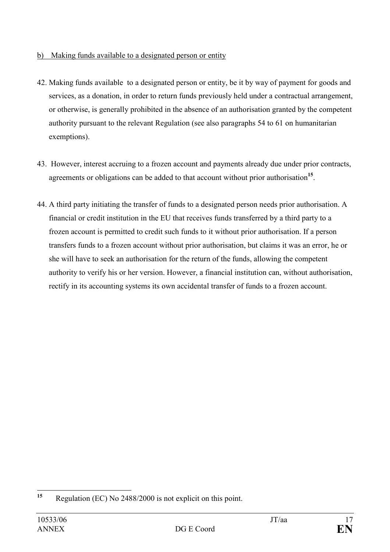#### b) Making funds available to a designated person or entity

- 42. Making funds available to a designated person or entity, be it by way of payment for goods and services, as a donation, in order to return funds previously held under a contractual arrangement, or otherwise, is generally prohibited in the absence of an authorisation granted by the competent authority pursuant to the relevant Regulation (see also paragraphs 54 to 61 on humanitarian exemptions).
- 43. However, interest accruing to a frozen account and payments already due under prior contracts, agreements or obligations can be added to that account without prior authorisation<sup>15</sup>.
- 44. A third party initiating the transfer of funds to a designated person needs prior authorisation. A financial or credit institution in the EU that receives funds transferred by a third party to a frozen account is permitted to credit such funds to it without prior authorisation. If a person transfers funds to a frozen account without prior authorisation, but claims it was an error, he or she will have to seek an authorisation for the return of the funds, allowing the competent authority to verify his or her version. However, a financial institution can, without authorisation, rectify in its accounting systems its own accidental transfer of funds to a frozen account.

 $15$ Regulation (EC) No 2488/2000 is not explicit on this point.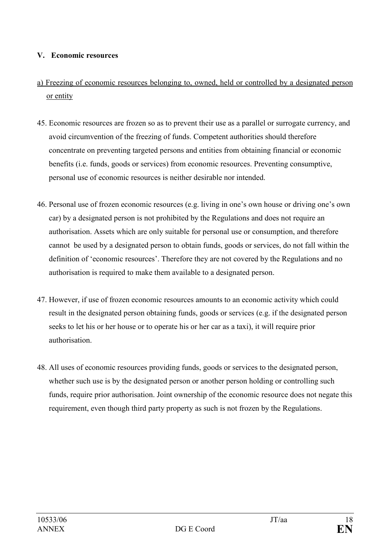#### V. Economic resources

- a) Freezing of economic resources belonging to, owned, held or controlled by a designated person or entity
- 45. Economic resources are frozen so as to prevent their use as a parallel or surrogate currency, and avoid circumvention of the freezing of funds. Competent authorities should therefore concentrate on preventing targeted persons and entities from obtaining financial or economic benefits (i.e. funds, goods or services) from economic resources. Preventing consumptive, personal use of economic resources is neither desirable nor intended.
- 46. Personal use of frozen economic resources (e.g. living in one's own house or driving one's own car) by a designated person is not prohibited by the Regulations and does not require an authorisation. Assets which are only suitable for personal use or consumption, and therefore cannot be used by a designated person to obtain funds, goods or services, do not fall within the definition of 'economic resources'. Therefore they are not covered by the Regulations and no authorisation is required to make them available to a designated person.
- 47. However, if use of frozen economic resources amounts to an economic activity which could result in the designated person obtaining funds, goods or services (e.g. if the designated person seeks to let his or her house or to operate his or her car as a taxi), it will require prior authorisation.
- 48. All uses of economic resources providing funds, goods or services to the designated person, whether such use is by the designated person or another person holding or controlling such funds, require prior authorisation. Joint ownership of the economic resource does not negate this requirement, even though third party property as such is not frozen by the Regulations.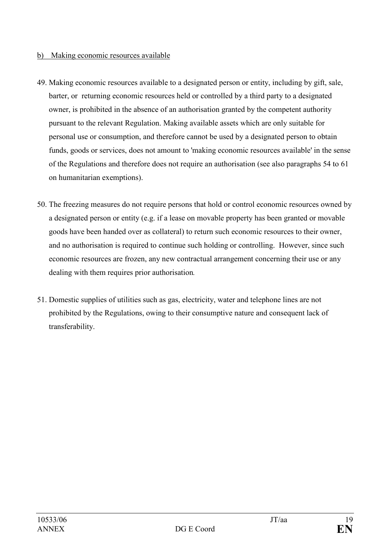#### b) Making economic resources available

- 49. Making economic resources available to a designated person or entity, including by gift, sale, barter, or returning economic resources held or controlled by a third party to a designated owner, is prohibited in the absence of an authorisation granted by the competent authority pursuant to the relevant Regulation. Making available assets which are only suitable for personal use or consumption, and therefore cannot be used by a designated person to obtain funds, goods or services, does not amount to 'making economic resources available' in the sense of the Regulations and therefore does not require an authorisation (see also paragraphs 54 to 61 on humanitarian exemptions).
- 50. The freezing measures do not require persons that hold or control economic resources owned by a designated person or entity (e.g. if a lease on movable property has been granted or movable goods have been handed over as collateral) to return such economic resources to their owner, and no authorisation is required to continue such holding or controlling. However, since such economic resources are frozen, any new contractual arrangement concerning their use or any dealing with them requires prior authorisation.
- 51. Domestic supplies of utilities such as gas, electricity, water and telephone lines are not prohibited by the Regulations, owing to their consumptive nature and consequent lack of transferability.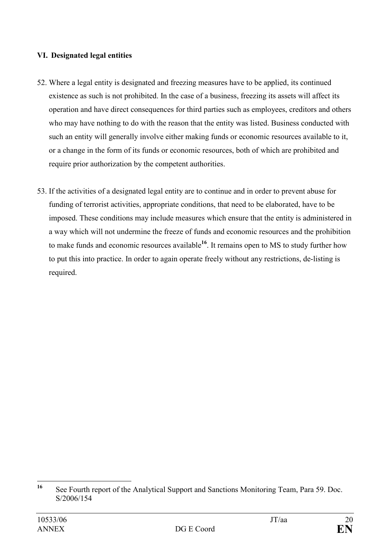#### VI. Designated legal entities

- 52. Where a legal entity is designated and freezing measures have to be applied, its continued existence as such is not prohibited. In the case of a business, freezing its assets will affect its operation and have direct consequences for third parties such as employees, creditors and others who may have nothing to do with the reason that the entity was listed. Business conducted with such an entity will generally involve either making funds or economic resources available to it, or a change in the form of its funds or economic resources, both of which are prohibited and require prior authorization by the competent authorities.
- 53. If the activities of a designated legal entity are to continue and in order to prevent abuse for funding of terrorist activities, appropriate conditions, that need to be elaborated, have to be imposed. These conditions may include measures which ensure that the entity is administered in a way which will not undermine the freeze of funds and economic resources and the prohibition to make funds and economic resources available<sup>16</sup>. It remains open to MS to study further how to put this into practice. In order to again operate freely without any restrictions, de-listing is required.

 $16$ <sup>16</sup> See Fourth report of the Analytical Support and Sanctions Monitoring Team, Para 59. Doc. S/2006/154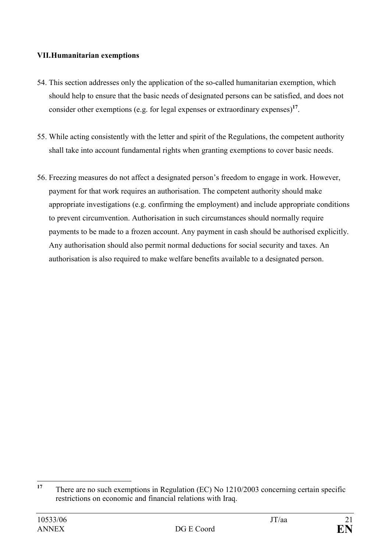#### VII. Humanitarian exemptions

- 54. This section addresses only the application of the so-called humanitarian exemption, which should help to ensure that the basic needs of designated persons can be satisfied, and does not consider other exemptions (e.g. for legal expenses or extraordinary expenses)<sup>17</sup>.
- 55. While acting consistently with the letter and spirit of the Regulations, the competent authority shall take into account fundamental rights when granting exemptions to cover basic needs.
- 56. Freezing measures do not affect a designated person's freedom to engage in work. However, payment for that work requires an authorisation. The competent authority should make appropriate investigations (e.g. confirming the employment) and include appropriate conditions to prevent circumvention. Authorisation in such circumstances should normally require payments to be made to a frozen account. Any payment in cash should be authorised explicitly. Any authorisation should also permit normal deductions for social security and taxes. An authorisation is also required to make welfare benefits available to a designated person.

 $17$ <sup>17</sup> There are no such exemptions in Regulation (EC) No 1210/2003 concerning certain specific restrictions on economic and financial relations with Iraq.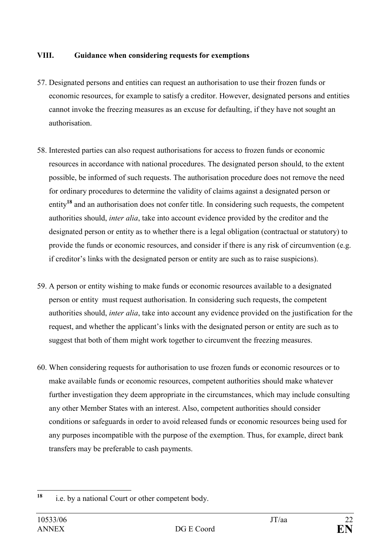#### VIII. Guidance when considering requests for exemptions

- 57. Designated persons and entities can request an authorisation to use their frozen funds or economic resources, for example to satisfy a creditor. However, designated persons and entities cannot invoke the freezing measures as an excuse for defaulting, if they have not sought an authorisation.
- 58. Interested parties can also request authorisations for access to frozen funds or economic resources in accordance with national procedures. The designated person should, to the extent possible, be informed of such requests. The authorisation procedure does not remove the need for ordinary procedures to determine the validity of claims against a designated person or entity<sup>18</sup> and an authorisation does not confer title. In considering such requests, the competent authorities should, inter alia, take into account evidence provided by the creditor and the designated person or entity as to whether there is a legal obligation (contractual or statutory) to provide the funds or economic resources, and consider if there is any risk of circumvention (e.g. if creditor's links with the designated person or entity are such as to raise suspicions).
- 59. A person or entity wishing to make funds or economic resources available to a designated person or entity must request authorisation. In considering such requests, the competent authorities should, inter alia, take into account any evidence provided on the justification for the request, and whether the applicant's links with the designated person or entity are such as to suggest that both of them might work together to circumvent the freezing measures.
- 60. When considering requests for authorisation to use frozen funds or economic resources or to make available funds or economic resources, competent authorities should make whatever further investigation they deem appropriate in the circumstances, which may include consulting any other Member States with an interest. Also, competent authorities should consider conditions or safeguards in order to avoid released funds or economic resources being used for any purposes incompatible with the purpose of the exemption. Thus, for example, direct bank transfers may be preferable to cash payments.

<sup>18</sup> i.e. by a national Court or other competent body.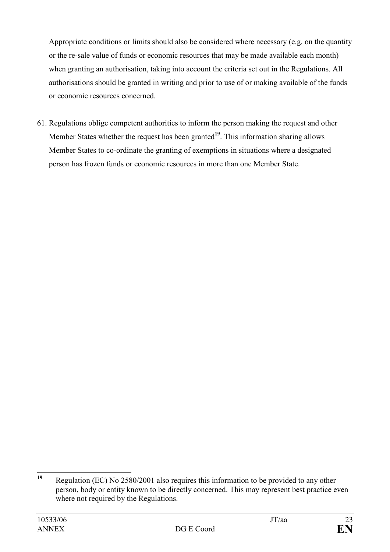Appropriate conditions or limits should also be considered where necessary (e.g. on the quantity or the re-sale value of funds or economic resources that may be made available each month) when granting an authorisation, taking into account the criteria set out in the Regulations. All authorisations should be granted in writing and prior to use of or making available of the funds or economic resources concerned.

61. Regulations oblige competent authorities to inform the person making the request and other Member States whether the request has been granted $1<sup>9</sup>$ . This information sharing allows Member States to co-ordinate the granting of exemptions in situations where a designated person has frozen funds or economic resources in more than one Member State.

 $19$ Regulation (EC) No 2580/2001 also requires this information to be provided to any other person, body or entity known to be directly concerned. This may represent best practice even where not required by the Regulations.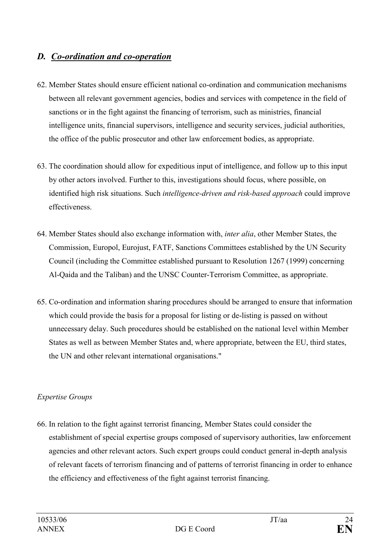# D. Co-ordination and co-operation

- 62. Member States should ensure efficient national co-ordination and communication mechanisms between all relevant government agencies, bodies and services with competence in the field of sanctions or in the fight against the financing of terrorism, such as ministries, financial intelligence units, financial supervisors, intelligence and security services, judicial authorities, the office of the public prosecutor and other law enforcement bodies, as appropriate.
- 63. The coordination should allow for expeditious input of intelligence, and follow up to this input by other actors involved. Further to this, investigations should focus, where possible, on identified high risk situations. Such intelligence-driven and risk-based approach could improve effectiveness.
- 64. Member States should also exchange information with, inter alia, other Member States, the Commission, Europol, Eurojust, FATF, Sanctions Committees established by the UN Security Council (including the Committee established pursuant to Resolution 1267 (1999) concerning Al-Qaida and the Taliban) and the UNSC Counter-Terrorism Committee, as appropriate.
- 65. Co-ordination and information sharing procedures should be arranged to ensure that information which could provide the basis for a proposal for listing or de-listing is passed on without unnecessary delay. Such procedures should be established on the national level within Member States as well as between Member States and, where appropriate, between the EU, third states, the UN and other relevant international organisations."

### Expertise Groups

66. In relation to the fight against terrorist financing, Member States could consider the establishment of special expertise groups composed of supervisory authorities, law enforcement agencies and other relevant actors. Such expert groups could conduct general in-depth analysis of relevant facets of terrorism financing and of patterns of terrorist financing in order to enhance the efficiency and effectiveness of the fight against terrorist financing.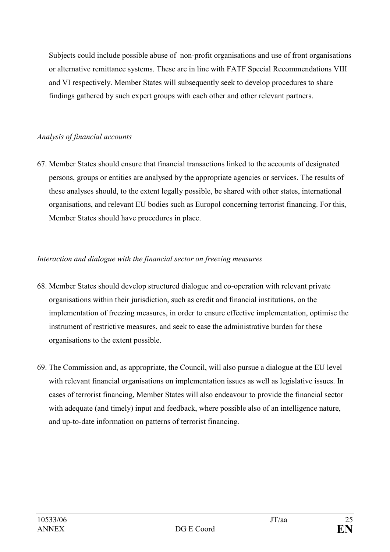Subjects could include possible abuse of non-profit organisations and use of front organisations or alternative remittance systems. These are in line with FATF Special Recommendations VIII and VI respectively. Member States will subsequently seek to develop procedures to share findings gathered by such expert groups with each other and other relevant partners.

#### Analysis of financial accounts

67. Member States should ensure that financial transactions linked to the accounts of designated persons, groups or entities are analysed by the appropriate agencies or services. The results of these analyses should, to the extent legally possible, be shared with other states, international organisations, and relevant EU bodies such as Europol concerning terrorist financing. For this, Member States should have procedures in place.

### Interaction and dialogue with the financial sector on freezing measures

- 68. Member States should develop structured dialogue and co-operation with relevant private organisations within their jurisdiction, such as credit and financial institutions, on the implementation of freezing measures, in order to ensure effective implementation, optimise the instrument of restrictive measures, and seek to ease the administrative burden for these organisations to the extent possible.
- 69. The Commission and, as appropriate, the Council, will also pursue a dialogue at the EU level with relevant financial organisations on implementation issues as well as legislative issues. In cases of terrorist financing, Member States will also endeavour to provide the financial sector with adequate (and timely) input and feedback, where possible also of an intelligence nature, and up-to-date information on patterns of terrorist financing.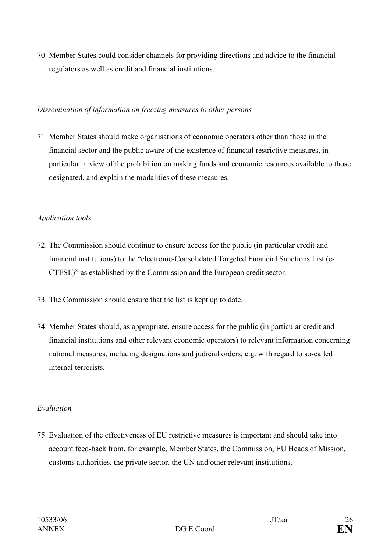70. Member States could consider channels for providing directions and advice to the financial regulators as well as credit and financial institutions.

#### Dissemination of information on freezing measures to other persons

71. Member States should make organisations of economic operators other than those in the financial sector and the public aware of the existence of financial restrictive measures, in particular in view of the prohibition on making funds and economic resources available to those designated, and explain the modalities of these measures.

#### Application tools

- 72. The Commission should continue to ensure access for the public (in particular credit and financial institutions) to the "electronic-Consolidated Targeted Financial Sanctions List (e-CTFSL)" as established by the Commission and the European credit sector.
- 73. The Commission should ensure that the list is kept up to date.
- 74. Member States should, as appropriate, ensure access for the public (in particular credit and financial institutions and other relevant economic operators) to relevant information concerning national measures, including designations and judicial orders, e.g. with regard to so-called internal terrorists.

#### Evaluation

75. Evaluation of the effectiveness of EU restrictive measures is important and should take into account feed-back from, for example, Member States, the Commission, EU Heads of Mission, customs authorities, the private sector, the UN and other relevant institutions.